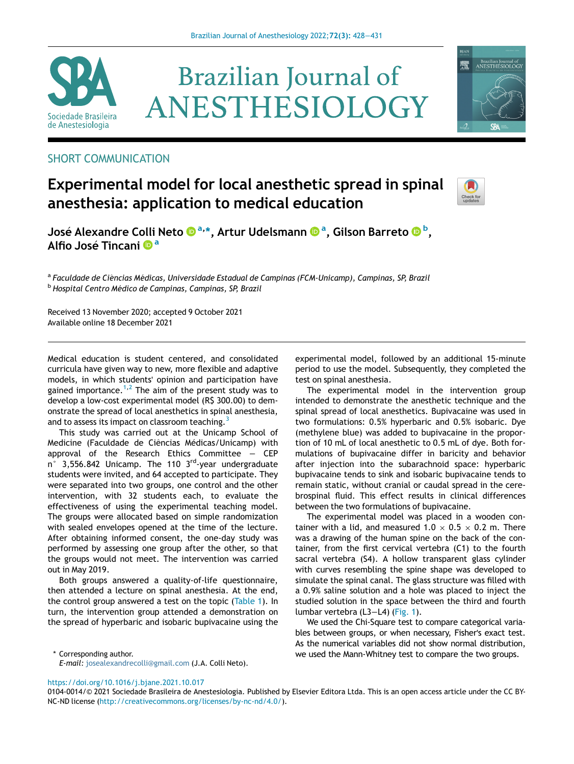

# **Brazilian Journal of** ANESTHESIOLOGY



# SHORT COMMUNICATION

# Experimental model for local anesthetic spread in spinal anesthesia: application to medical education



José Alexandre Colli Neto ®ª,[\\*](http://orcid.org/0000-0003-0888-881X)[, Artur Udelsmann](http://orcid.org/0000-0002-4174-7173) ®ª, Gilson B[a](http://orcid.org/0000-0002-4174-7173)rreto ® [b](http://orcid.org/0000-0002-7105-3519)[,](http://orcid.org/0000-0002-7105-3519) Alfio José [Tincani](http://orcid.org/0000-0001-6193-2686) <sup>n[a](http://orcid.org/0000-0001-6193-2686)</sup>

<sup>a</sup> Faculdade de Ciências Médicas, Universidade Estadual de Campinas (FCM-Unicamp), Campinas, SP, Brazil <sup>b</sup> Hospital Centro Médico de Campinas, Campinas, SP, Brazil

Received 13 November 2020; accepted 9 October 2021 Available online 18 December 2021

Medical education is student centered, and consolidated curricula have given way to new, more flexible and adaptive models, in which students' opinion and participation have gained importance.<sup>[1](#page-3-0),[2](#page-3-1)</sup> The aim of the present study was to develop a low-cost experimental model (R\$ 300.00) to demonstrate the spread of local anesthetics in spinal anesthesia, and to assess its impact on classroom teaching.<sup>[3](#page-3-2)</sup>

This study was carried out at the Unicamp School of Medicine (Faculdade de Ciências Médicas/Unicamp) with approval of the Research Ethics Committee − CEP n° 3,556.842 Unicamp. The 110 3<sup>rd</sup>-year undergraduate students were invited, and 64 accepted to participate. They were separated into two groups, one control and the other intervention, with 32 students each, to evaluate the effectiveness of using the experimental teaching model. The groups were allocated based on simple randomization with sealed envelopes opened at the time of the lecture. After obtaining informed consent, the one-day study was performed by assessing one group after the other, so that the groups would not meet. The intervention was carried out in May 2019.

Both groups answered a quality-of-life questionnaire, then attended a lecture on spinal anesthesia. At the end, the control group answered a test on the topic [\(Table 1](#page-1-0)). In turn, the intervention group attended a demonstration on the spread of hyperbaric and isobaric bupivacaine using the experimental model, followed by an additional 15-minute period to use the model. Subsequently, they completed the test on spinal anesthesia.

The experimental model in the intervention group intended to demonstrate the anesthetic technique and the spinal spread of local anesthetics. Bupivacaine was used in two formulations: 0.5% hyperbaric and 0.5% isobaric. Dye (methylene blue) was added to bupivacaine in the proportion of 10 mL of local anesthetic to 0.5 mL of dye. Both formulations of bupivacaine differ in baricity and behavior after injection into the subarachnoid space: hyperbaric bupivacaine tends to sink and isobaric bupivacaine tends to remain static, without cranial or caudal spread in the cerebrospinal fluid. This effect results in clinical differences between the two formulations of bupivacaine.

The experimental model was placed in a wooden container with a lid, and measured 1.0  $\times$  0.5  $\times$  0.2 m. There was a drawing of the human spine on the back of the container, from the first cervical vertebra (C1) to the fourth sacral vertebra (S4). A hollow transparent glass cylinder with curves resembling the spine shape was developed to simulate the spinal canal. The glass structure was filled with a 0.9% saline solution and a hole was placed to inject the studied solution in the space between the third and fourth lumbar vertebra (L3−L4) ([Fig. 1\)](#page-3-3).

We used the Chi-Square test to compare categorical variables between groups, or when necessary, Fisher's exact test. As the numerical variables did not show normal distribution, \* Corresponding author. we used the Mann-Whitney test to compare the two groups.

E-mail: [josealexandrecolli@gmail.com](mailto:josealexandrecolli@gmail.com) (J.A. Colli Neto).

<https://doi.org/10.1016/j.bjane.2021.10.017>

<sup>0104-0014/© 2021</sup> Sociedade Brasileira de Anestesiologia. Published by Elsevier Editora Ltda. This is an open access article under the CC BY-NC-ND license [\(http://creativecommons.org/licenses/by-nc-nd/4.0/](http://creativecommons.org/licenses/by-nc-nd/4.0/)).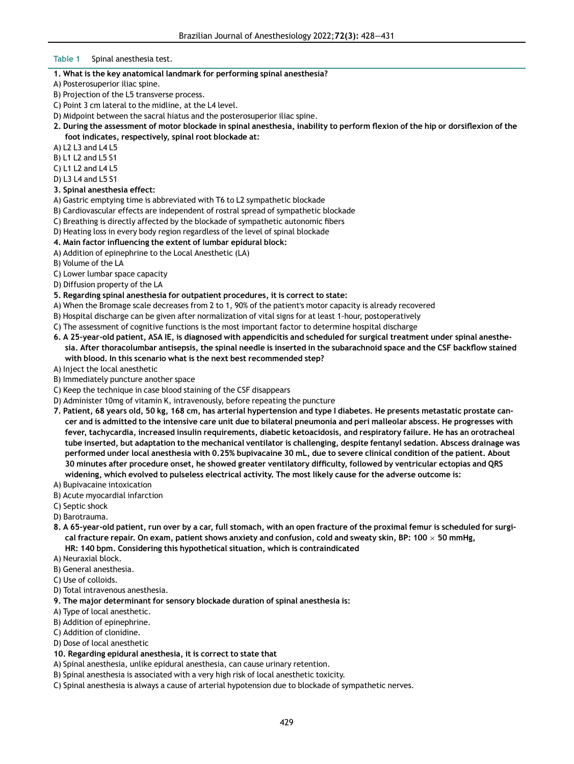#### <span id="page-1-0"></span>Table 1 Spinal anesthesia test.

#### 1. What is the key anatomical landmark for performing spinal anesthesia?

- A) Posterosuperior iliac spine.
- B) Projection of the L5 transverse process.
- C) Point 3 cm lateral to the midline, at the L4 level.
- D) Midpoint between the sacral hiatus and the posterosuperior iliac spine.
- 2. During the assessment of motor blockade in spinal anesthesia, inability to perform flexion of the hip or dorsiflexion of the foot indicates, respectively, spinal root blockade at:
- A) L2 L3 and L4 L5
- B) L1 L2 and L5 S1
- C) L1 L2 and L4 L5
- D) L3 L4 and L5 S1
- 3. Spinal anesthesia effect:
- A) Gastric emptying time is abbreviated with T6 to L2 sympathetic blockade
- B) Cardiovascular effects are independent of rostral spread of sympathetic blockade
- C) Breathing is directly affected by the blockade of sympathetic autonomic fibers
- D) Heating loss in every body region regardless of the level of spinal blockade
- 4. Main factor influencing the extent of lumbar epidural block:
- A) Addition of epinephrine to the Local Anesthetic (LA)
- B) Volume of the LA
- C) Lower lumbar space capacity
- D) Diffusion property of the LA
- 5. Regarding spinal anesthesia for outpatient procedures, it is correct to state:
- A) When the Bromage scale decreases from 2 to 1, 90% of the patient's motor capacity is already recovered
- B) Hospital discharge can be given after normalization of vital signs for at least 1-hour, postoperatively
- C) The assessment of cognitive functions is the most important factor to determine hospital discharge
- 6. A 25-year-old patient, ASA IE, is diagnosed with appendicitis and scheduled for surgical treatment under spinal anesthesia. After thoracolumbar antisepsis, the spinal needle is inserted in the subarachnoid space and the CSF backflow stained with blood. In this scenario what is the next best recommended step?
- A) Inject the local anesthetic
- B) Immediately puncture another space
- C) Keep the technique in case blood staining of the CSF disappears
- D) Administer 10mg of vitamin K, intravenously, before repeating the puncture
- 7. Patient, 68 years old, 50 kg, 168 cm, has arterial hypertension and type I diabetes. He presents metastatic prostate cancer and is admitted to the intensive care unit due to bilateral pneumonia and peri malleolar abscess. He progresses with fever, tachycardia, increased insulin requirements, diabetic ketoacidosis, and respiratory failure. He has an orotracheal tube inserted, but adaptation to the mechanical ventilator is challenging, despite fentanyl sedation. Abscess drainage was performed under local anesthesia with 0.25% bupivacaine 30 mL, due to severe clinical condition of the patient. About 30 minutes after procedure onset, he showed greater ventilatory difficulty, followed by ventricular ectopias and QRS widening, which evolved to pulseless electrical activity. The most likely cause for the adverse outcome is:
- A) Bupivacaine intoxication
- B) Acute myocardial infarction
- C) Septic shock
- D) Barotrauma.
- 8. A 65-year-old patient, run over by a car, full stomach, with an open fracture of the proximal femur is scheduled for surgical fracture repair. On exam, patient shows anxiety and confusion, cold and sweaty skin, BP: 100  $\times$  50 mmHg, HR: 140 bpm. Considering this hypothetical situation, which is contraindicated
- A) Neuraxial block.
- B) General anesthesia.
- C) Use of colloids.
- D) Total intravenous anesthesia.
- 9. The major determinant for sensory blockade duration of spinal anesthesia is:
- A) Type of local anesthetic.
- B) Addition of epinephrine.
- C) Addition of clonidine.
- D) Dose of local anesthetic

#### 10. Regarding epidural anesthesia, it is correct to state that

- A) Spinal anesthesia, unlike epidural anesthesia, can cause urinary retention.
- B) Spinal anesthesia is associated with a very high risk of local anesthetic toxicity.
- C) Spinal anesthesia is always a cause of arterial hypotension due to blockade of sympathetic nerves.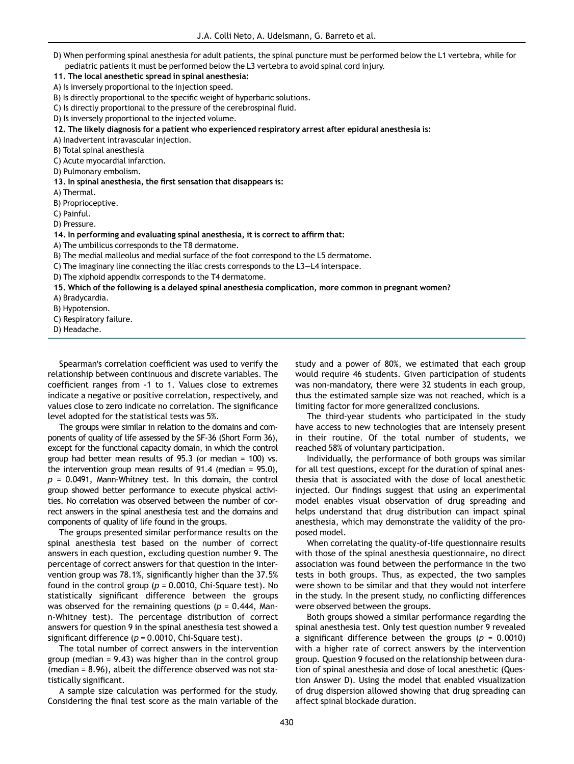D) When performing spinal anesthesia for adult patients, the spinal puncture must be performed below the L1 vertebra, while for pediatric patients it must be performed below the L3 vertebra to avoid spinal cord injury.

11. The local anesthetic spread in spinal anesthesia:

A) Is inversely proportional to the injection speed.

B) Is directly proportional to the specific weight of hyperbaric solutions.

C) Is directly proportional to the pressure of the cerebrospinal fluid.

D) Is inversely proportional to the injected volume.

12. The likely diagnosis for a patient who experienced respiratory arrest after epidural anesthesia is:

A) Inadvertent intravascular injection.

B) Total spinal anesthesia

C) Acute myocardial infarction.

D) Pulmonary embolism.

13. In spinal anesthesia, the first sensation that disappears is:

A) Thermal.

B) Proprioceptive.

C) Painful.

D) Pressure.

14. In performing and evaluating spinal anesthesia, it is correct to affirm that:

A) The umbilicus corresponds to the T8 dermatome.

B) The medial malleolus and medial surface of the foot correspond to the L5 dermatome.

C) The imaginary line connecting the iliac crests corresponds to the L3−L4 interspace.

D) The xiphoid appendix corresponds to the T4 dermatome.

15. Which of the following is a delayed spinal anesthesia complication, more common in pregnant women?

A) Bradycardia.

B) Hypotension.

C) Respiratory failure.

D) Headache.

Spearman's correlation coefficient was used to verify the relationship between continuous and discrete variables. The coefficient ranges from -1 to 1. Values close to extremes indicate a negative or positive correlation, respectively, and values close to zero indicate no correlation. The significance level adopted for the statistical tests was 5%.

The groups were similar in relation to the domains and components of quality of life assessed by the SF-36 (Short Form 36), except for the functional capacity domain, in which the control group had better mean results of 95.3 (or median = 100) vs. the intervention group mean results of 91.4 (median = 95.0),  $p = 0.0491$ , Mann-Whitney test. In this domain, the control group showed better performance to execute physical activities. No correlation was observed between the number of correct answers in the spinal anesthesia test and the domains and components of quality of life found in the groups.

The groups presented similar performance results on the spinal anesthesia test based on the number of correct answers in each question, excluding question number 9. The percentage of correct answers for that question in the intervention group was 78.1%, significantly higher than the 37.5% found in the control group ( $p = 0.0010$ , Chi-Square test). No statistically significant difference between the groups was observed for the remaining questions ( $p = 0.444$ , Mann-Whitney test). The percentage distribution of correct answers for question 9 in the spinal anesthesia test showed a significant difference ( $p = 0.0010$ , Chi-Square test).

The total number of correct answers in the intervention group (median = 9.43) was higher than in the control group (median = 8.96), albeit the difference observed was not statistically significant.

A sample size calculation was performed for the study. Considering the final test score as the main variable of the study and a power of 80%, we estimated that each group would require 46 students. Given participation of students was non-mandatory, there were 32 students in each group, thus the estimated sample size was not reached, which is a limiting factor for more generalized conclusions.

The third-year students who participated in the study have access to new technologies that are intensely present in their routine. Of the total number of students, we reached 58% of voluntary participation.

Individually, the performance of both groups was similar for all test questions, except for the duration of spinal anesthesia that is associated with the dose of local anesthetic injected. Our findings suggest that using an experimental model enables visual observation of drug spreading and helps understand that drug distribution can impact spinal anesthesia, which may demonstrate the validity of the proposed model.

When correlating the quality-of-life questionnaire results with those of the spinal anesthesia questionnaire, no direct association was found between the performance in the two tests in both groups. Thus, as expected, the two samples were shown to be similar and that they would not interfere in the study. In the present study, no conflicting differences were observed between the groups.

Both groups showed a similar performance regarding the spinal anesthesia test. Only test question number 9 revealed a significant difference between the groups ( $p = 0.0010$ ) with a higher rate of correct answers by the intervention group. Question 9 focused on the relationship between duration of spinal anesthesia and dose of local anesthetic (Question Answer D). Using the model that enabled visualization of drug dispersion allowed showing that drug spreading can affect spinal blockade duration.